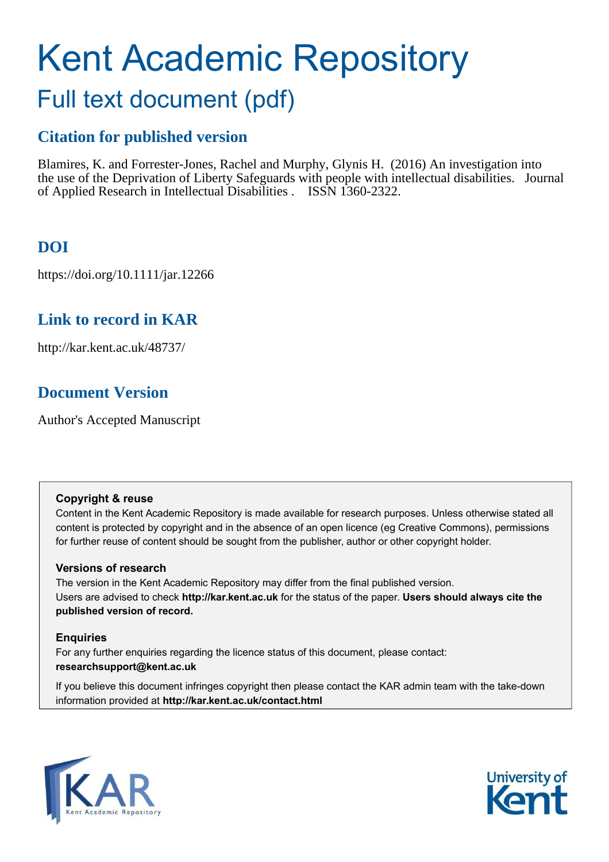# Kent Academic Repository Full text document (pdf)

## **Citation for published version**

Blamires, K. and Forrester-Jones, Rachel and Murphy, Glynis H. (2016) An investigation into the use of the Deprivation of Liberty Safeguards with people with intellectual disabilities. Journal of Applied Research in Intellectual Disabilities . ISSN 1360-2322.

### **DOI**

https://doi.org/10.1111/jar.12266

### **Link to record in KAR**

http://kar.kent.ac.uk/48737/

### **Document Version**

Author's Accepted Manuscript

### **Copyright & reuse**

Content in the Kent Academic Repository is made available for research purposes. Unless otherwise stated all content is protected by copyright and in the absence of an open licence (eg Creative Commons), permissions for further reuse of content should be sought from the publisher, author or other copyright holder.

### **Versions of research**

The version in the Kent Academic Repository may differ from the final published version. Users are advised to check **http://kar.kent.ac.uk** for the status of the paper. **Users should always cite the published version of record.**

### **Enquiries**

For any further enquiries regarding the licence status of this document, please contact: **researchsupport@kent.ac.uk**

If you believe this document infringes copyright then please contact the KAR admin team with the take-down information provided at **http://kar.kent.ac.uk/contact.html**



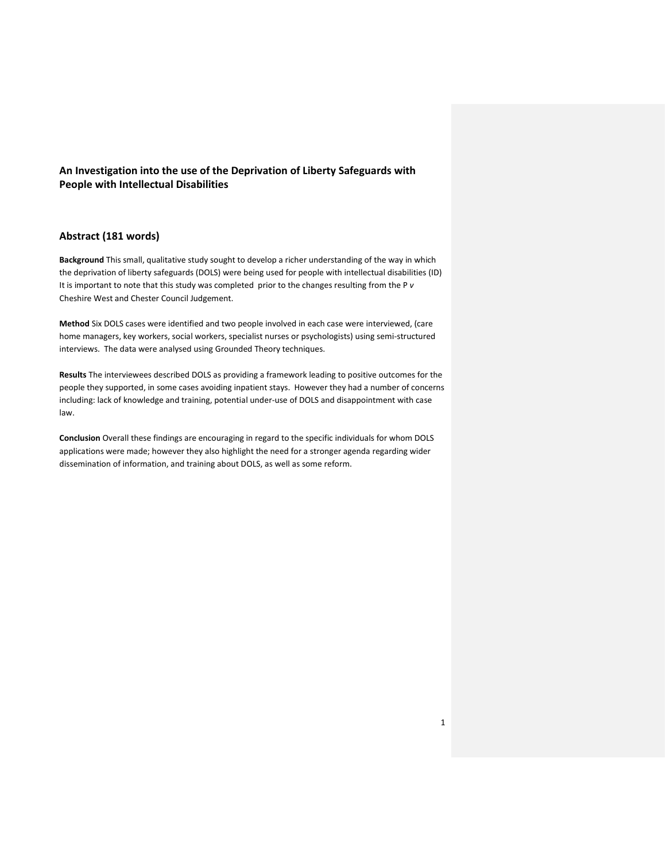#### **An Investigation into the use of the Deprivation of Liberty Safeguards with People with Intellectual Disabilities**

#### **Abstract (181 words)**

**Background** This small, qualitative study sought to develop a richer understanding of the way in which the deprivation of liberty safeguards (DOLS) were being used for people with intellectual disabilities (ID) It is important to note that this study was completed prior to the changes resulting from the P *v* Cheshire West and Chester Council Judgement.

**Method** Six DOLS cases were identified and two people involved in each case were interviewed, (care home managers, key workers, social workers, specialist nurses or psychologists) using semi-structured interviews. The data were analysed using Grounded Theory techniques.

**Results** The interviewees described DOLS as providing a framework leading to positive outcomes for the people they supported, in some cases avoiding inpatient stays. However they had a number of concerns including: lack of knowledge and training, potential under-use of DOLS and disappointment with case law.

**Conclusion** Overall these findings are encouraging in regard to the specific individuals for whom DOLS applications were made; however they also highlight the need for a stronger agenda regarding wider dissemination of information, and training about DOLS, as well as some reform.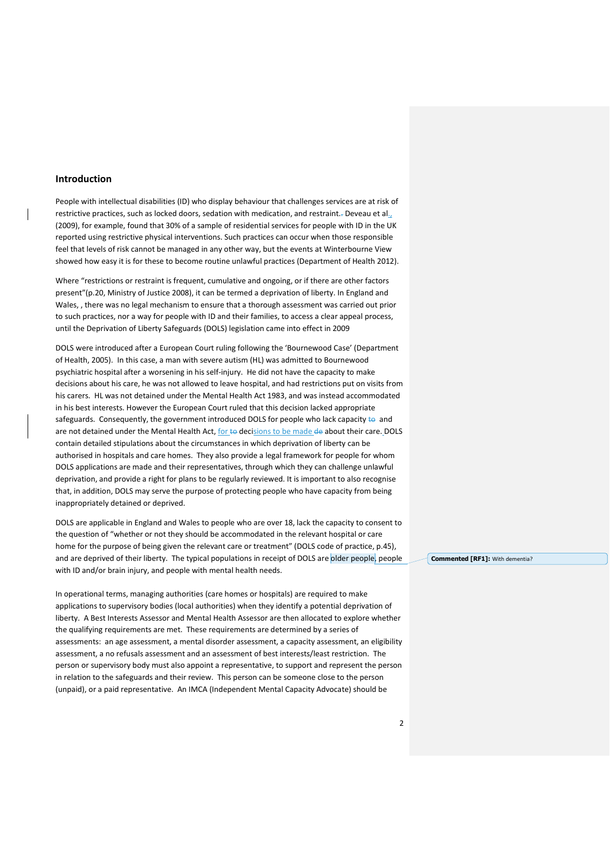#### **Introduction**

People with intellectual disabilities (ID) who display behaviour that challenges services are at risk of restrictive practices, such as locked doors, sedation with medication, and restraint.. Deveau et al., (2009), for example, found that 30% of a sample of residential services for people with ID in the UK reported using restrictive physical interventions. Such practices can occur when those responsible feel that levels of risk cannot be managed in any other way, but the events at Winterbourne View showed how easy it is for these to become routine unlawful practices (Department of Health 2012).

Where "restrictions or restraint is frequent, cumulative and ongoing, or if there are other factors present"(p.20, Ministry of Justice 2008), it can be termed a deprivation of liberty. In England and Wales, , there was no legal mechanism to ensure that a thorough assessment was carried out prior to such practices, nor a way for people with ID and their families, to access a clear appeal process, until the Deprivation of Liberty Safeguards (DOLS) legislation came into effect in 2009

DOLS were introduced after a European Court ruling following the 'Bournewood Case' (Department of Health, 2005). In this case, a man with severe autism (HL) was admitted to Bournewood psychiatric hospital after a worsening in his self-injury. He did not have the capacity to make decisions about his care, he was not allowed to leave hospital, and had restrictions put on visits from his carers. HL was not detained under the Mental Health Act 1983, and was instead accommodated in his best interests. However the European Court ruled that this decision lacked appropriate safeguards. Consequently, the government introduced DOLS for people who lack capacity  $\leftrightarrow$  and are not detained under the Mental Health Act, for to decisions to be made de about their care. DOLS contain detailed stipulations about the circumstances in which deprivation of liberty can be authorised in hospitals and care homes. They also provide a legal framework for people for whom DOLS applications are made and their representatives, through which they can challenge unlawful deprivation, and provide a right for plans to be regularly reviewed. It is important to also recognise that, in addition, DOLS may serve the purpose of protecting people who have capacity from being inappropriately detained or deprived.

DOLS are applicable in England and Wales to people who are over 18, lack the capacity to consent to the question of "whether or not they should be accommodated in the relevant hospital or care home for the purpose of being given the relevant care or treatment" (DOLS code of practice, p.45). and are deprived of their liberty. The typical populations in receipt of DOLS are older people, people with ID and/or brain injury, and people with mental health needs.

In operational terms, managing authorities (care homes or hospitals) are required to make applications to supervisory bodies (local authorities) when they identify a potential deprivation of liberty. A Best Interests Assessor and Mental Health Assessor are then allocated to explore whether the qualifying requirements are met. These requirements are determined by a series of assessments: an age assessment, a mental disorder assessment, a capacity assessment, an eligibility assessment, a no refusals assessment and an assessment of best interests/least restriction. The person or supervisory body must also appoint a representative, to support and represent the person in relation to the safeguards and their review. This person can be someone close to the person (unpaid), or a paid representative. An IMCA (Independent Mental Capacity Advocate) should be

**Commented [RF1]:** With dementia?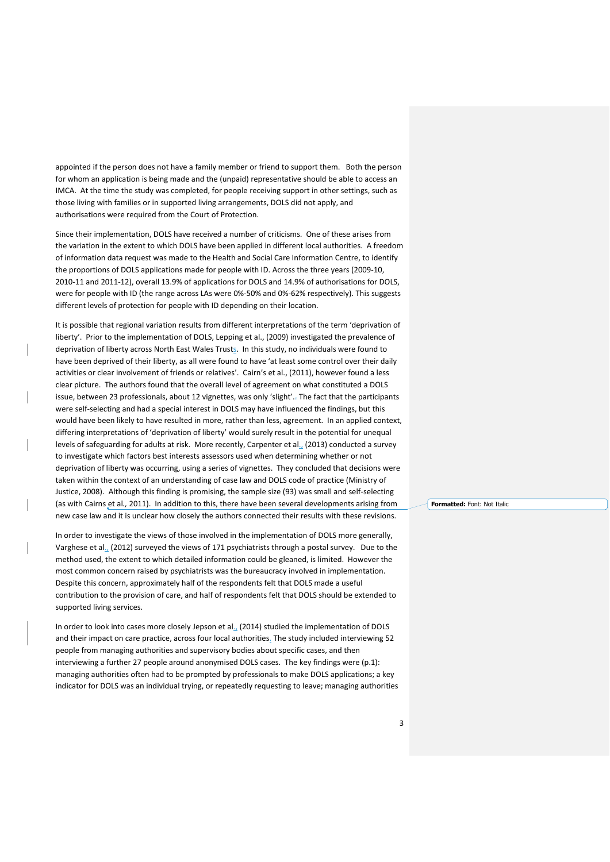appointed if the person does not have a family member or friend to support them. Both the person for whom an application is being made and the (unpaid) representative should be able to access an IMCA. At the time the study was completed, for people receiving support in other settings, such as those living with families or in supported living arrangements, DOLS did not apply, and authorisations were required from the Court of Protection.

Since their implementation, DOLS have received a number of criticisms. One of these arises from the variation in the extent to which DOLS have been applied in different local authorities. A freedom of information data request was made to the Health and Social Care Information Centre, to identify the proportions of DOLS applications made for people with ID. Across the three years (2009-10, 2010-11 and 2011-12), overall 13.9% of applications for DOLS and 14.9% of authorisations for DOLS, were for people with ID (the range across LAs were 0%-50% and 0%-62% respectively). This suggests different levels of protection for people with ID depending on their location.

It is possible that regional variation results from different interpretations of the term 'deprivation of liberty'. Prior to the implementation of DOLS, Lepping et al., (2009) investigated the prevalence of deprivation of liberty across North East Wales Trusts. In this study, no individuals were found to have been deprived of their liberty, as all were found to have 'at least some control over their daily activities or clear involvement of friends or relatives'. Cairn's et al., (2011), however found a less clear picture. The authors found that the overall level of agreement on what constituted a DOLS issue, between 23 professionals, about 12 vignettes, was only 'slight'. The fact that the participants were self-selecting and had a special interest in DOLS may have influenced the findings, but this would have been likely to have resulted in more, rather than less, agreement. In an applied context, differing interpretations of 'deprivation of liberty' would surely result in the potential for unequal levels of safeguarding for adults at risk. More recently, Carpenter et al., (2013) conducted a survey to investigate which factors best interests assessors used when determining whether or not deprivation of liberty was occurring, using a series of vignettes. They concluded that decisions were taken within the context of an understanding of case law and DOLS code of practice (Ministry of Justice, 2008). Although this finding is promising, the sample size (93) was small and self-selecting (as with Cairns et al*.,* 2011). In addition to this, there have been several developments arising from new case law and it is unclear how closely the authors connected their results with these revisions.

In order to investigate the views of those involved in the implementation of DOLS more generally, Varghese et al., (2012) surveyed the views of 171 psychiatrists through a postal survey. Due to the method used, the extent to which detailed information could be gleaned, is limited. However the most common concern raised by psychiatrists was the bureaucracy involved in implementation. Despite this concern, approximately half of the respondents felt that DOLS made a useful contribution to the provision of care, and half of respondents felt that DOLS should be extended to supported living services.

In order to look into cases more closely Jepson et al., (2014) studied the implementation of DOLS and their impact on care practice, across four local authorities. The study included interviewing 52 people from managing authorities and supervisory bodies about specific cases, and then interviewing a further 27 people around anonymised DOLS cases. The key findings were (p.1): managing authorities often had to be prompted by professionals to make DOLS applications; a key indicator for DOLS was an individual trying, or repeatedly requesting to leave; managing authorities **Formatted:** Font: Not Italic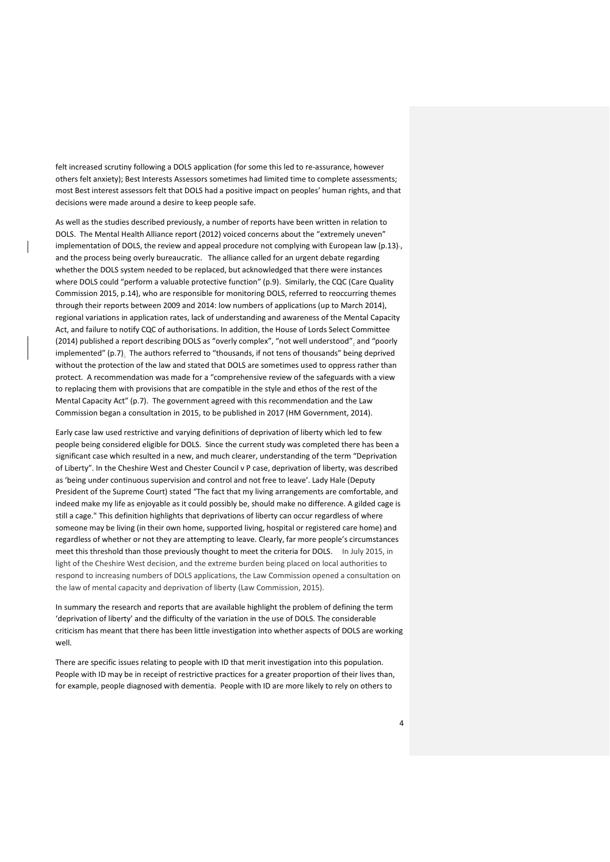felt increased scrutiny following a DOLS application (for some this led to re-assurance, however others felt anxiety); Best Interests Assessors sometimes had limited time to complete assessments; most Best interest assessors felt that DOLS had a positive impact on peoples' human rights, and that decisions were made around a desire to keep people safe.

As well as the studies described previously, a number of reports have been written in relation to DOLS. The Mental Health Alliance report (2012) voiced concerns about the "extremely uneven" implementation of DOLS, the review and appeal procedure not complying with European law (p.13)-, and the process being overly bureaucratic. The alliance called for an urgent debate regarding whether the DOLS system needed to be replaced, but acknowledged that there were instances where DOLS could "perform a valuable protective function" (p.9). Similarly, the CQC (Care Quality Commission 2015, p.14), who are responsible for monitoring DOLS, referred to reoccurring themes through their reports between 2009 and 2014: low numbers of applications (up to March 2014), regional variations in application rates, lack of understanding and awareness of the Mental Capacity Act, and failure to notify CQC of authorisations. In addition, the House of Lords Select Committee (2014) published a report describing DOLS as "overly complex", "not well understood", and "poorly implemented" (p.7). The authors referred to "thousands, if not tens of thousands" being deprived without the protection of the law and stated that DOLS are sometimes used to oppress rather than protect. A recommendation was made for a "comprehensive review of the safeguards with a view to replacing them with provisions that are compatible in the style and ethos of the rest of the Mental Capacity Act" (p.7). The government agreed with this recommendation and the Law Commission began a consultation in 2015, to be published in 2017 (HM Government, 2014).

Early case law used restrictive and varying definitions of deprivation of liberty which led to few people being considered eligible for DOLS. Since the current study was completed there has been a significant case which resulted in a new, and much clearer, understanding of the term "Deprivation of Liberty". In the Cheshire West and Chester Council v P case, deprivation of liberty, was described as 'being under continuous supervision and control and not free to leave'. Lady Hale (Deputy President of the Supreme Court) stated "The fact that my living arrangements are comfortable, and indeed make my life as enjoyable as it could possibly be, should make no difference. A gilded cage is still a cage." This definition highlights that deprivations of liberty can occur regardless of where someone may be living (in their own home, supported living, hospital or registered care home) and regardless of whether or not they are attempting to leave. Clearly, far more people's circumstances meet this threshold than those previously thought to meet the criteria for DOLS. In July 2015, in light of the Cheshire West decision, and the extreme burden being placed on local authorities to respond to increasing numbers of DOLS applications, the Law Commission opened a consultation on the law of mental capacity and deprivation of liberty (Law Commission, 2015).

In summary the research and reports that are available highlight the problem of defining the term 'deprivation of liberty' and the difficulty of the variation in the use of DOLS. The considerable criticism has meant that there has been little investigation into whether aspects of DOLS are working well.

There are specific issues relating to people with ID that merit investigation into this population. People with ID may be in receipt of restrictive practices for a greater proportion of their lives than, for example, people diagnosed with dementia. People with ID are more likely to rely on others to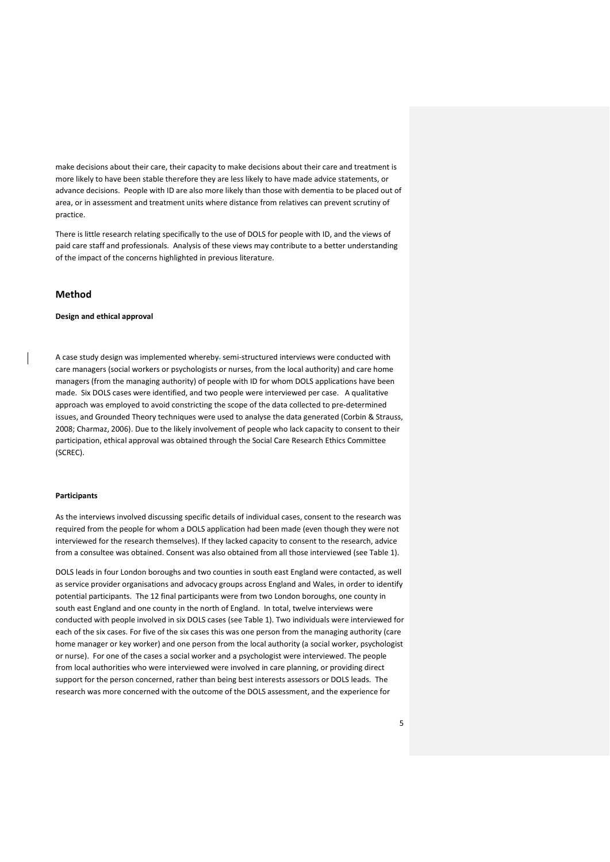make decisions about their care, their capacity to make decisions about their care and treatment is more likely to have been stable therefore they are less likely to have made advice statements, or advance decisions. People with ID are also more likely than those with dementia to be placed out of area, or in assessment and treatment units where distance from relatives can prevent scrutiny of practice.

There is little research relating specifically to the use of DOLS for people with ID, and the views of paid care staff and professionals. Analysis of these views may contribute to a better understanding of the impact of the concerns highlighted in previous literature.

#### **Method**

#### **Design and ethical approval**

A case study design was implemented whereby. semi-structured interviews were conducted with care managers (social workers or psychologists or nurses, from the local authority) and care home managers (from the managing authority) of people with ID for whom DOLS applications have been made. Six DOLS cases were identified, and two people were interviewed per case. A qualitative approach was employed to avoid constricting the scope of the data collected to pre-determined issues, and Grounded Theory techniques were used to analyse the data generated (Corbin & Strauss, 2008; Charmaz, 2006). Due to the likely involvement of people who lack capacity to consent to their participation, ethical approval was obtained through the Social Care Research Ethics Committee (SCREC).

#### **Participants**

As the interviews involved discussing specific details of individual cases, consent to the research was required from the people for whom a DOLS application had been made (even though they were not interviewed for the research themselves). If they lacked capacity to consent to the research, advice from a consultee was obtained. Consent was also obtained from all those interviewed (see Table 1).

DOLS leads in four London boroughs and two counties in south east England were contacted, as well as service provider organisations and advocacy groups across England and Wales, in order to identify potential participants. The 12 final participants were from two London boroughs, one county in south east England and one county in the north of England. In total, twelve interviews were conducted with people involved in six DOLS cases (see Table 1). Two individuals were interviewed for each of the six cases. For five of the six cases this was one person from the managing authority (care home manager or key worker) and one person from the local authority (a social worker, psychologist or nurse). For one of the cases a social worker and a psychologist were interviewed. The people from local authorities who were interviewed were involved in care planning, or providing direct support for the person concerned, rather than being best interests assessors or DOLS leads. The research was more concerned with the outcome of the DOLS assessment, and the experience for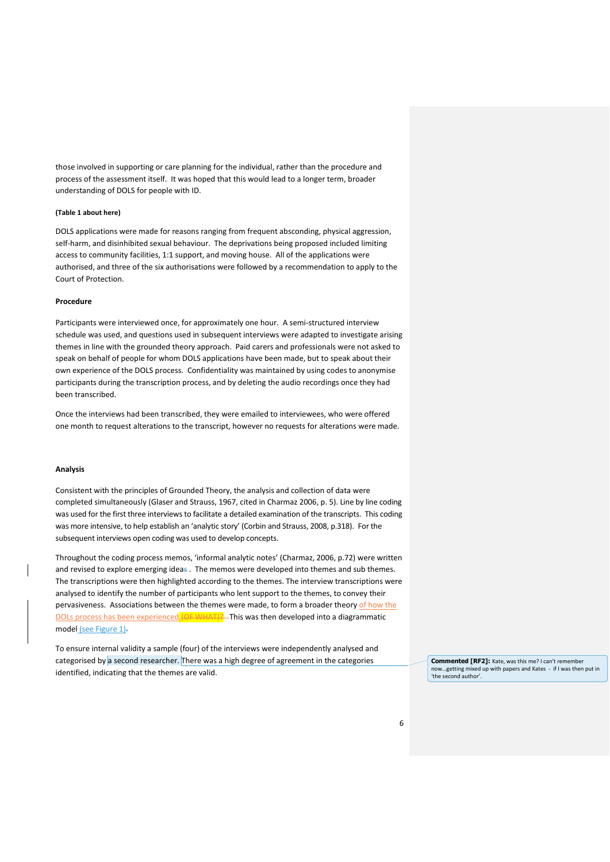those involved in supporting or care planning for the individual, rather than the procedure and process of the assessment itself. It was hoped that this would lead to a longer term, broader understanding of DOLS for people with ID.

#### **(Table 1 about here)**

DOLS applications were made for reasons ranging from frequent absconding, physical aggression, self-harm, and disinhibited sexual behaviour. The deprivations being proposed included limiting access to community facilities, 1:1 support, and moving house. All of the applications were authorised, and three of the six authorisations were followed by a recommendation to apply to the Court of Protection.

#### **Procedure**

Participants were interviewed once, for approximately one hour. A semi-structured interview schedule was used, and questions used in subsequent interviews were adapted to investigate arising themes in line with the grounded theory approach. Paid carers and professionals were not asked to speak on behalf of people for whom DOLS applications have been made, but to speak about their own experience of the DOLS process. Confidentiality was maintained by using codes to anonymise participants during the transcription process, and by deleting the audio recordings once they had been transcribed.

Once the interviews had been transcribed, they were emailed to interviewees, who were offered one month to request alterations to the transcript, however no requests for alterations were made.

#### **Analysis**

Consistent with the principles of Grounded Theory, the analysis and collection of data were completed simultaneously (Glaser and Strauss, 1967, cited in Charmaz 2006, p. 5). Line by line coding was used for the first three interviews to facilitate a detailed examination of the transcripts. This coding was more intensive, to help establish an 'analytic story' (Corbin and Strauss, 2008, p.318). For the subsequent interviews open coding was used to develop concepts.

Throughout the coding process memos, 'informal analytic notes' (Charmaz, 2006, p.72) were written and revised to explore emerging ideas . The memos were developed into themes and sub themes. The transcriptions were then highlighted according to the themes. The interview transcriptions were analysed to identify the number of participants who lent support to the themes, to convey their pervasiveness. Associations between the themes were made, to form a broader theory of how the DOLs process has been experienced. (OF WHAT)? This was then developed into a diagrammatic model (see Figure 1)-

To ensure internal validity a sample (four) of the interviews were independently analysed and categorised by a second researcher. There was a high degree of agreement in the categories identified, indicating that the themes are valid.

**Commented [RF2]:** Kate, was this me? I can't remember now...getting mixed up with papers and Kates - if I was then put in 'the second author'.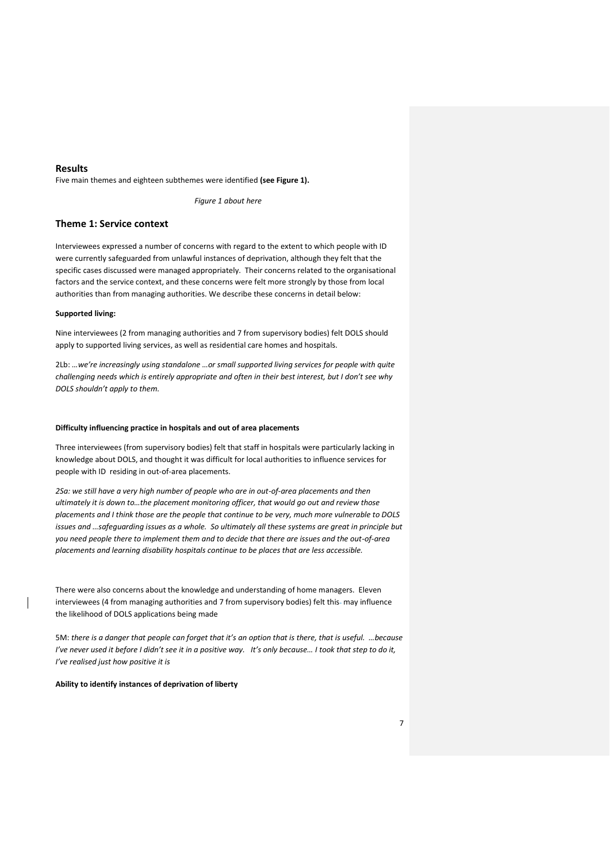#### **Results**

Five main themes and eighteen subthemes were identified **(see Figure 1).**

*Figure 1 about here*

#### **Theme 1: Service context**

Interviewees expressed a number of concerns with regard to the extent to which people with ID were currently safeguarded from unlawful instances of deprivation, although they felt that the specific cases discussed were managed appropriately. Their concerns related to the organisational factors and the service context, and these concerns were felt more strongly by those from local authorities than from managing authorities. We describe these concerns in detail below:

#### **Supported living:**

Nine interviewees (2 from managing authorities and 7 from supervisory bodies) felt DOLS should apply to supported living services, as well as residential care homes and hospitals.

2Lb: ...we're increasingly using standalone ...or small supported living services for people with quite *challenging needs which is entirely appropriate and often in their best interest, but I don't see why DOLS shouldn't apply to them.* 

#### **Difficulty influencing practice in hospitals and out of area placements**

Three interviewees (from supervisory bodies) felt that staff in hospitals were particularly lacking in knowledge about DOLS, and thought it was difficult for local authorities to influence services for people with ID residing in out-of-area placements.

*2Sa: we still have a very high number of people who are in out-of-area placements and then ultimately it is down to...the placement monitoring officer, that would go out and review those placements and I think those are the people that continue to be very, much more vulnerable to DOLS issues and ...safeguarding issues as a whole. So ultimately all these systems are great in principle but you need people there to implement them and to decide that there are issues and the out-of-area placements and learning disability hospitals continue to be places that are less accessible.* 

There were also concerns about the knowledge and understanding of home managers. Eleven interviewees (4 from managing authorities and 7 from supervisory bodies) felt this-may influence the likelihood of DOLS applications being made

5M: there is a danger that people can forget that it's an option that is there, that is useful. ...because *I've never used it before I didn't see it in a positive way. It's only because... I took that step to do it, I've realised just how positive it is* 

**Ability to identify instances of deprivation of liberty**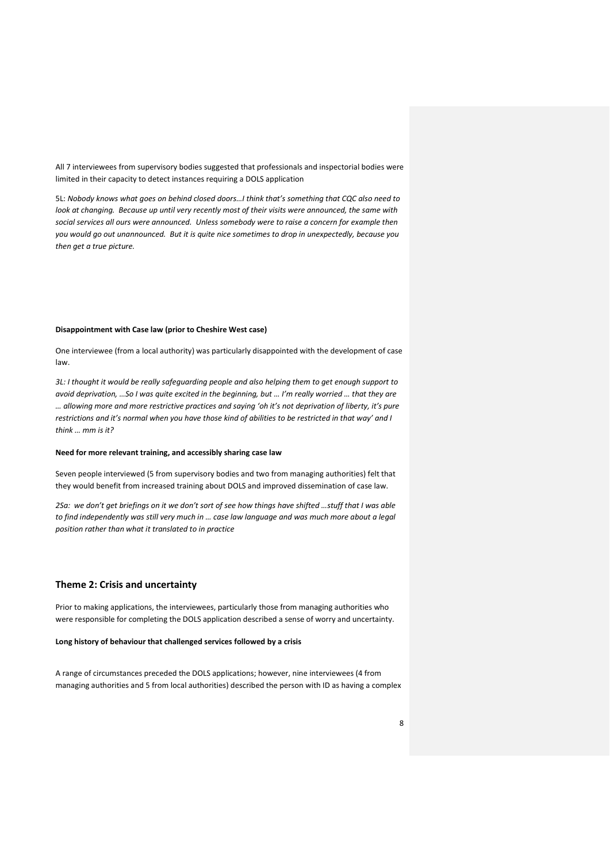All 7 interviewees from supervisory bodies suggested that professionals and inspectorial bodies were limited in their capacity to detect instances requiring a DOLS application

5L: Nobody knows what goes on behind closed doors...I think that's something that CQC also need to *look at changing. Because up until very recently most of their visits were announced, the same with social services all ours were announced. Unless somebody were to raise a concern for example then you would go out unannounced. But it is quite nice sometimes to drop in unexpectedly, because you then get a true picture.*

#### **Disappointment with Case law (prior to Cheshire West case)**

One interviewee (from a local authority) was particularly disappointed with the development of case law.

*3L: I thought it would be really safeguarding people and also helping them to get enough support to avoid deprivation, ...So I was quite excited in the beginning, but ... I'm really worried ... that they are* ... allowing more and more restrictive practices and saying 'oh it's not deprivation of liberty, it's pure restrictions and it's normal when you have those kind of abilities to be restricted in that way' and I think ... mm is it?

#### **Need for more relevant training, and accessibly sharing case law**

Seven people interviewed (5 from supervisory bodies and two from managing authorities) felt that they would benefit from increased training about DOLS and improved dissemination of case law.

2Sa: we don't get briefings on it we don't sort of see how things have shifted ...stuff that I was able to find independently was still very much in ... case law language and was much more about a legal *position rather than what it translated to in practice* 

#### **Theme 2: Crisis and uncertainty**

Prior to making applications, the interviewees, particularly those from managing authorities who were responsible for completing the DOLS application described a sense of worry and uncertainty.

#### **Long history of behaviour that challenged services followed by a crisis**

A range of circumstances preceded the DOLS applications; however, nine interviewees (4 from managing authorities and 5 from local authorities) described the person with ID as having a complex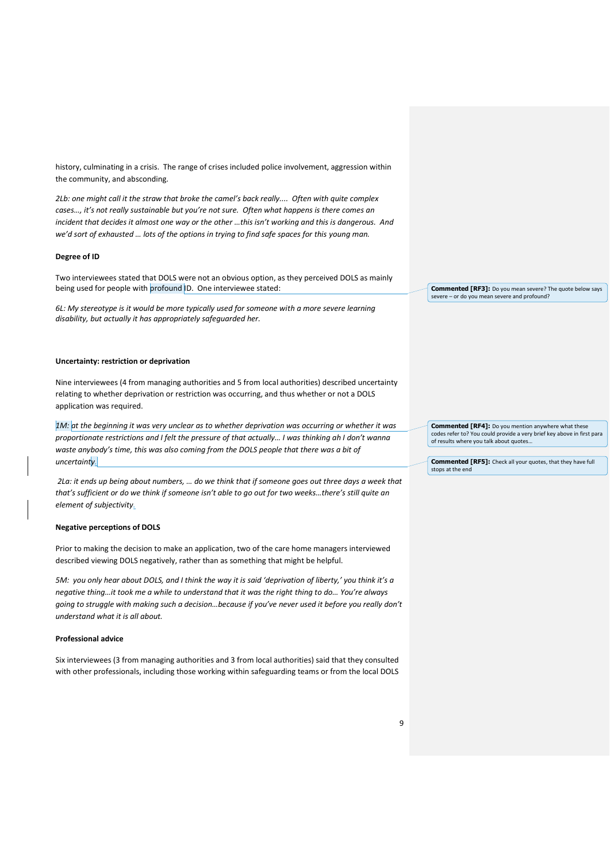history, culminating in a crisis. The range of crises included police involvement, aggression within the community, and absconding.

*2Lb*: one might call it the straw that broke the camel's back really.... Often with quite complex cases..., it's not really sustainable but you're not sure. Often what happens is there comes an incident that decides it almost one way or the other ...this isn't working and this is dangerous. And we'd sort of exhausted ... lots of the options in trying to find safe spaces for this young man.

#### **Degree of ID**

Two interviewees stated that DOLS were not an obvious option, as they perceived DOLS as mainly being used for people with profound ID. One interviewee stated:

*6L: My stereotype is it would be more typically used for someone with a more severe learning disability, but actually it has appropriately safeguarded her.*

#### **Uncertainty: restriction or deprivation**

Nine interviewees (4 from managing authorities and 5 from local authorities) described uncertainty relating to whether deprivation or restriction was occurring, and thus whether or not a DOLS application was required.

*1M: at the beginning it was very unclear as to whether deprivation was occurring or whether it was proportionate restrictions and I felt the pressure of that actually... I was thinking ah I don't wanna* waste anybody's time, this was also coming from the DOLS people that there was a bit of *uncertainty.*

*2La: it ends up being about numbers, ... do we think that if someone goes out three days a week that that's sufficient or do we think if someone isn't able to go out for two weeks...there's still quite an element of subjectivity.*

#### **Negative perceptions of DOLS**

Prior to making the decision to make an application, two of the care home managers interviewed described viewing DOLS negatively, rather than as something that might be helpful.

*5M: you only hear about DOLS, and I think the way it is said 'deprivation of liberty,' you think it's a* negative thing...it took me a while to understand that it was the right thing to do... You're always going to struggle with making such a decision...because if you've never used it before you really don't *understand what it is all about.* 

#### **Professional advice**

Six interviewees (3 from managing authorities and 3 from local authorities) said that they consulted with other professionals, including those working within safeguarding teams or from the local DOLS **Commented [RF3]:** Do you mean severe? The quote below says severe - or do you mean severe and profound?

**Commented [RF4]:** Do you mention anywhere what these codes refer to? You could provide a very brief key above in first para of results where you talk about quotes

**Commented [RF5]:** Check all your quotes, that they have full stops at the en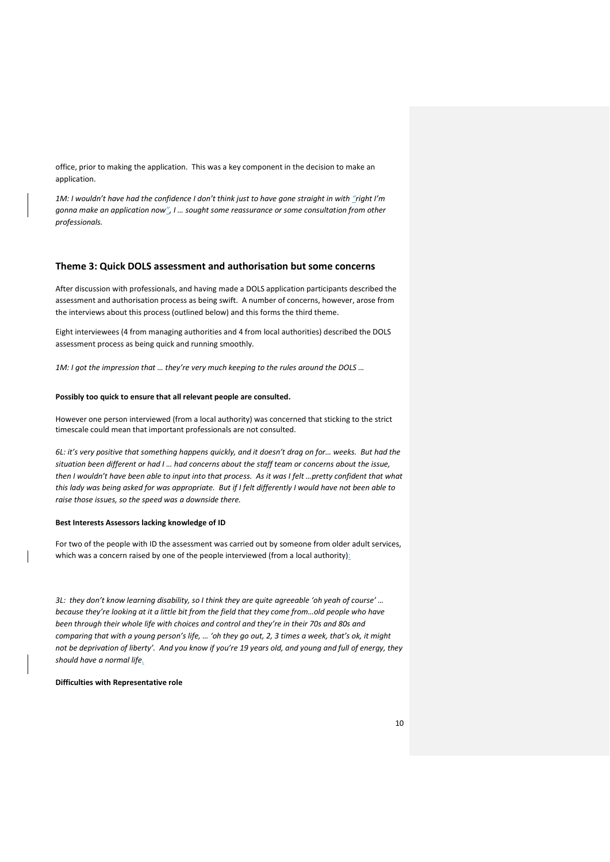office, prior to making the application. This was a key component in the decision to make an application.

*1M: I wouldn't have had the confidence I don't think just to have gone straight in with "right I'm gonna make an application now<sup>"</sup>, I ... sought some reassurance or some consultation from other professionals.* 

#### **Theme 3: Quick DOLS assessment and authorisation but some concerns**

After discussion with professionals, and having made a DOLS application participants described the assessment and authorisation process as being swift. A number of concerns, however, arose from the interviews about this process (outlined below) and this forms the third theme.

Eight interviewees (4 from managing authorities and 4 from local authorities) described the DOLS assessment process as being quick and running smoothly.

*1M: I got the impression that ... they're very much keeping to the rules around the DOLS ...* 

#### **Possibly too quick to ensure that all relevant people are consulted.**

However one person interviewed (from a local authority) was concerned that sticking to the strict timescale could mean that important professionals are not consulted.

*6L*: it's very positive that something happens quickly, and it doesn't drag on for... weeks. But had the situation been different or had I ... had concerns about the staff team or concerns about the issue, then I wouldn't have been able to input into that process. As it was I felt ...pretty confident that what *this lady was being asked for was appropriate. But if I felt differently I would have not been able to raise those issues, so the speed was a downside there.* 

#### **Best Interests Assessors lacking knowledge of ID**

For two of the people with ID the assessment was carried out by someone from older adult services, which was a concern raised by one of the people interviewed (from a local authority):

*3L*: they don't know learning disability, so I think they are quite agreeable 'oh yeah of course' ... because they're looking at it a little bit from the field that they come from...old people who have been through their whole life with choices and control and they're in their 70s and 80s and *comparing that with a young person's life, ... 'oh they go out, 2, 3 times a week, that's ok, it might* not be deprivation of liberty'. And you know if you're 19 years old, and young and full of energy, they *should have a normal life.*

**Difficulties with Representative role**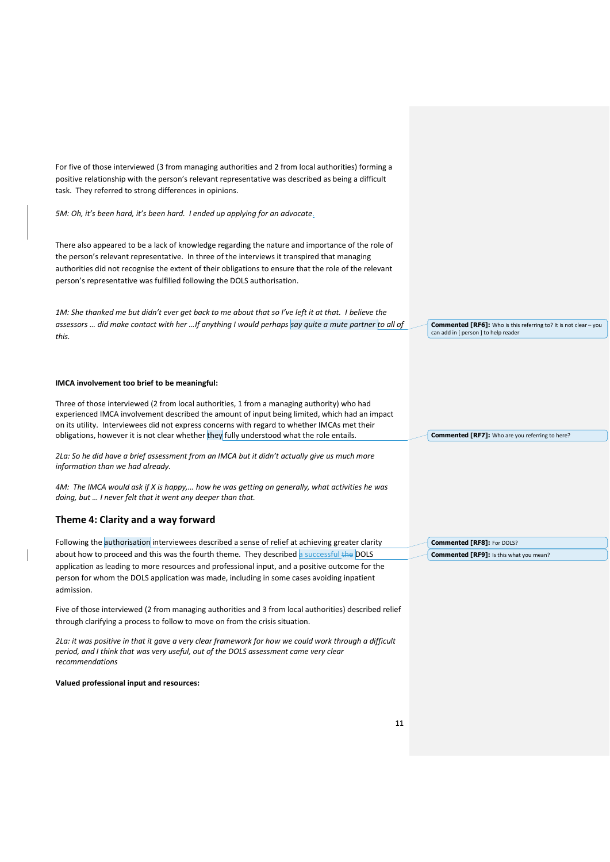For five of those interviewed (3 from managing authorities and 2 from local authorities) forming a positive relationship with the person's relevant representative was described as being a difficult task. They referred to strong differences in opinions.

*5M*: Oh, it's been hard, it's been hard. I ended up applying for an advocate.

There also appeared to be a lack of knowledge regarding the nature and importance of the role of the person's relevant representative. In three of the interviews it transpired that managing authorities did not recognise the extent of their obligations to ensure that the role of the relevant person's representative was fulfilled following the DOLS authorisation.

*1M: She thanked me but didn't ever get back to me about that so I've left it at that. I believe the assessors ... did make contact with her ...If anything I would perhaps say quite a mute partner to all of this.* 

#### **IMCA involvement too brief to be meaningful:**

Three of those interviewed (2 from local authorities, 1 from a managing authority) who had experienced IMCA involvement described the amount of input being limited, which had an impact on its utility. Interviewees did not express concerns with regard to whether IMCAs met their obligations, however it is not clear whether they fully understood what the role entails.

2La: So he did have a brief assessment from an IMCA but it didn't actually give us much more *information than we had already.* 

*AM:* The IMCA would ask if X is happy,... how he was getting on generally, what activities he was *doing, but ... I never felt that it went any deeper than that.* 

#### **Theme 4: Clarity and a way forward**

Following the authorisation interviewees described a sense of relief at achieving greater clarity about how to proceed and this was the fourth theme. They described a successful the DOLS application as leading to more resources and professional input, and a positive outcome for the person for whom the DOLS application was made, including in some cases avoiding inpatient admission.

Five of those interviewed (2 from managing authorities and 3 from local authorities) described relief through clarifying a process to follow to move on from the crisis situation.

*2La: it was positive in that it gave a very clear framework for how we could work through a difficult period, and I think that was very useful, out of the DOLS assessment came very clear recommendations* 

**Valued professional input and resources:**

**Commented [RF6]:** Who is this referring to? It is not clear - you can add in [ person ] to help reader

**Commented [RF7]:** Who are you referring to here?

**Commented [RF8]:** For DOLS? **Commented [RF9]:** Is this what you mean?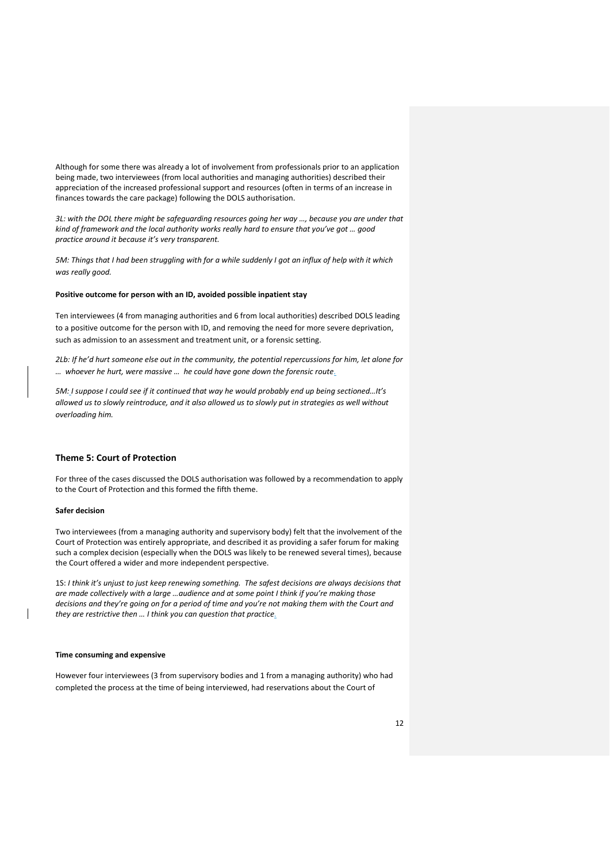Although for some there was already a lot of involvement from professionals prior to an application being made, two interviewees (from local authorities and managing authorities) described their appreciation of the increased professional support and resources (often in terms of an increase in finances towards the care package) following the DOLS authorisation.

*3L*: with the DOL there might be safeguarding resources going her way ..., because you are under that kind of framework and the local authority works really hard to ensure that you've got ... good practice around it because it's very transparent.

*5M: Things that I had been struggling with for a while suddenly I got an influx of help with it which was really good.*

#### **Positive outcome for person with an ID, avoided possible inpatient stay**

Ten interviewees (4 from managing authorities and 6 from local authorities) described DOLS leading to a positive outcome for the person with ID, and removing the need for more severe deprivation, such as admission to an assessment and treatment unit, or a forensic setting.

*2Lb: If he'd hurt someone else out in the community, the potential repercussions for him, let alone for whoever he hurt, were massive ... he could have gone down the forensic route.* 

*5M: I suppose I could see if it continued that way he would probably end up being sectioned...It's allowed us to slowly reintroduce, and it also allowed us to slowly put in strategies as well without overloading him.* 

#### **Theme 5: Court of Protection**

For three of the cases discussed the DOLS authorisation was followed by a recommendation to apply to the Court of Protection and this formed the fifth theme.

#### **Safer decision**

Two interviewees (from a managing authority and supervisory body) felt that the involvement of the Court of Protection was entirely appropriate, and described it as providing a safer forum for making such a complex decision (especially when the DOLS was likely to be renewed several times), because the Court offered a wider and more independent perspective.

1S: I think it's unjust to just keep renewing something. The safest decisions are always decisions that are made collectively with a large ...audience and at some point I think if you're making those decisions and they're going on for a period of time and you're not making them with the Court and *they are restrictive then ... I think you can question that practice.* 

#### **Time consuming and expensive**

However four interviewees (3 from supervisory bodies and 1 from a managing authority) who had completed the process at the time of being interviewed, had reservations about the Court of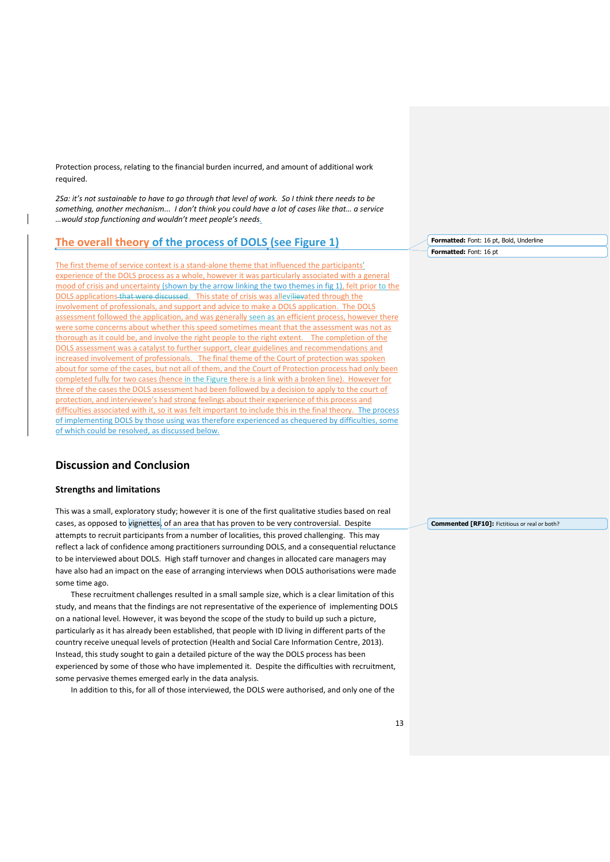Protection process, relating to the financial burden incurred, and amount of additional work required.

2Sa: it's not sustainable to have to go through that level of work. So I think there needs to be something, another mechanism... I don't think you could have a lot of cases like that... a service …would stop functioning and wouldn't meet people's needs.

#### **The overall theory of the process of DOLS (see Figure 1)**

The first theme of service context is a stand-alone theme that influenced the participants' experience of the DOLS process as a whole, however it was particularly associated with a general mood of crisis and uncertainty (shown by the arrow linking the two themes in fig 1), felt prior to the DOLS applications that were discussed. This state of crisis was allevilievated through the involvement of professionals, and support and advice to make a DOLS application. The DOLS assessment followed the application, and was generally seen as an efficient process, however there were some concerns about whether this speed sometimes meant that the assessment was not as thorough as it could be, and involve the right people to the right extent. The completion of the DOLS assessment was a catalyst to further support, clear guidelines and recommendations and increased involvement of professionals. The final theme of the Court of protection was spoken about for some of the cases, but not all of them, and the Court of Protection process had only been completed fully for two cases (hence in the Figure there is a link with a broken line). However for three of the cases the DOLS assessment had been followed by a decision to apply to the court of protection, and interviewee's had strong feelings about their experience of this process and difficulties associated with it, so it was felt important to include this in the final theory. The process of implementing DOLS by those using was therefore experienced as chequered by difficulties, some of which could be resolved, as discussed below.

#### **Discussion and Conclusion**

#### **Strengths and limitations**

This was a small, exploratory study; however it is one of the first qualitative studies based on real cases, as opposed to vignettes, of an area that has proven to be very controversial. Despite attempts to recruit participants from a number of localities, this proved challenging. This may reflect a lack of confidence among practitioners surrounding DOLS, and a consequential reluctance to be interviewed about DOLS. High staff turnover and changes in allocated care managers may have also had an impact on the ease of arranging interviews when DOLS authorisations were made some time ago.

 These recruitment challenges resulted in a small sample size, which is a clear limitation of this study, and means that the findings are not representative of the experience of implementing DOLS on a national level. However, it was beyond the scope of the study to build up such a picture, particularly as it has already been established, that people with ID living in different parts of the country receive unequal levels of protection (Health and Social Care Information Centre, 2013). Instead, this study sought to gain a detailed picture of the way the DOLS process has been experienced by some of those who have implemented it. Despite the difficulties with recruitment, some pervasive themes emerged early in the data analysis.

In addition to this, for all of those interviewed, the DOLS were authorised, and only one of the

**Formatted:** Font: 16 pt, Bold, Underline **Formatted:** Font: 16 pt

**Commented [RF10]:** Fictitious or real or both?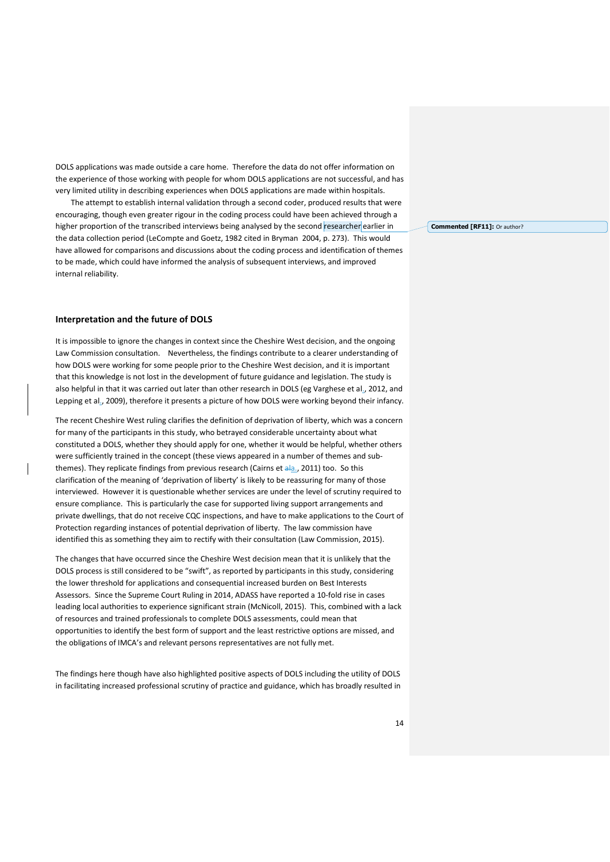DOLS applications was made outside a care home. Therefore the data do not offer information on the experience of those working with people for whom DOLS applications are not successful, and has very limited utility in describing experiences when DOLS applications are made within hospitals.

 The attempt to establish internal validation through a second coder, produced results that were encouraging, though even greater rigour in the coding process could have been achieved through a higher proportion of the transcribed interviews being analysed by the second researcher earlier in the data collection period (LeCompte and Goetz, 1982 cited in Bryman 2004, p. 273). This would have allowed for comparisons and discussions about the coding process and identification of themes to be made, which could have informed the analysis of subsequent interviews, and improved internal reliability.

#### **Interpretation and the future of DOLS**

It is impossible to ignore the changes in context since the Cheshire West decision, and the ongoing Law Commission consultation. Nevertheless, the findings contribute to a clearer understanding of how DOLS were working for some people prior to the Cheshire West decision, and it is important that this knowledge is not lost in the development of future guidance and legislation. The study is also helpful in that it was carried out later than other research in DOLS (eg Varghese et al., 2012, and Lepping et al., 2009), therefore it presents a picture of how DOLS were working beyond their infancy.

The recent Cheshire West ruling clarifies the definition of deprivation of liberty, which was a concern for many of the participants in this study, who betrayed considerable uncertainty about what constituted a DOLS, whether they should apply for one, whether it would be helpful, whether others were sufficiently trained in the concept (these views appeared in a number of themes and subthemes). They replicate findings from previous research (Cairns et ala., 2011) too. So this clarification of the meaning of 'deprivation of liberty' is likely to be reassuring for many of those interviewed. However it is questionable whether services are under the level of scrutiny required to ensure compliance. This is particularly the case for supported living support arrangements and private dwellings, that do not receive CQC inspections, and have to make applications to the Court of Protection regarding instances of potential deprivation of liberty. The law commission have identified this as something they aim to rectify with their consultation (Law Commission, 2015).

The changes that have occurred since the Cheshire West decision mean that it is unlikely that the DOLS process is still considered to be "swift", as reported by participants in this study, considering the lower threshold for applications and consequential increased burden on Best Interests Assessors. Since the Supreme Court Ruling in 2014, ADASS have reported a 10-fold rise in cases leading local authorities to experience significant strain (McNicoll, 2015). This, combined with a lack of resources and trained professionals to complete DOLS assessments, could mean that opportunities to identify the best form of support and the least restrictive options are missed, and the obligations of IMCA's and relevant persons representatives are not fully met.

The findings here though have also highlighted positive aspects of DOLS including the utility of DOLS in facilitating increased professional scrutiny of practice and guidance, which has broadly resulted in **Commented [RF11]:** Or author?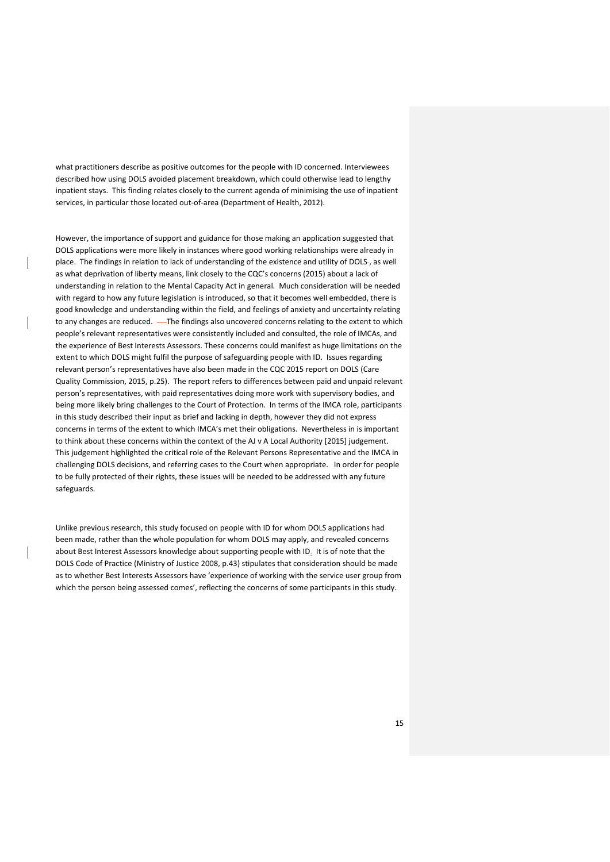what practitioners describe as positive outcomes for the people with ID concerned. Interviewees described how using DOLS avoided placement breakdown, which could otherwise lead to lengthy inpatient stays. This finding relates closely to the current agenda of minimising the use of inpatient services, in particular those located out-of-area (Department of Health, 2012).

However, the importance of support and guidance for those making an application suggested that DOLS applications were more likely in instances where good working relationships were already in place. The findings in relation to lack of understanding of the existence and utility of DOLS-, as well as what deprivation of liberty means, link closely to the CQC's concerns (2015) about a lack of understanding in relation to the Mental Capacity Act in general. Much consideration will be needed with regard to how any future legislation is introduced, so that it becomes well embedded, there is good knowledge and understanding within the field, and feelings of anxiety and uncertainty relating to any changes are reduced. — The findings also uncovered concerns relating to the extent to which people's relevant representatives were consistently included and consulted, the role of IMCAs, and the experience of Best Interests Assessors. These concerns could manifest as huge limitations on the extent to which DOLS might fulfil the purpose of safeguarding people with ID. Issues regarding relevant person's representatives have also been made in the CQC 2015 report on DOLS (Care Quality Commission, 2015, p.25). The report refers to differences between paid and unpaid relevant person's representatives, with paid representatives doing more work with supervisory bodies, and being more likely bring challenges to the Court of Protection. In terms of the IMCA role, participants in this study described their input as brief and lacking in depth, however they did not express concerns in terms of the extent to which IMCA's met their obligations. Nevertheless in is important to think about these concerns within the context of the AJ v A Local Authority [2015] judgement. This judgement highlighted the critical role of the Relevant Persons Representative and the IMCA in challenging DOLS decisions, and referring cases to the Court when appropriate. In order for people to be fully protected of their rights, these issues will be needed to be addressed with any future safeguards.

Unlike previous research, this study focused on people with ID for whom DOLS applications had been made, rather than the whole population for whom DOLS may apply, and revealed concerns about Best Interest Assessors knowledge about supporting people with ID. It is of note that the DOLS Code of Practice (Ministry of Justice 2008, p.43) stipulates that consideration should be made as to whether Best Interests Assessors have 'experience of working with the service user group from which the person being assessed comes', reflecting the concerns of some participants in this study.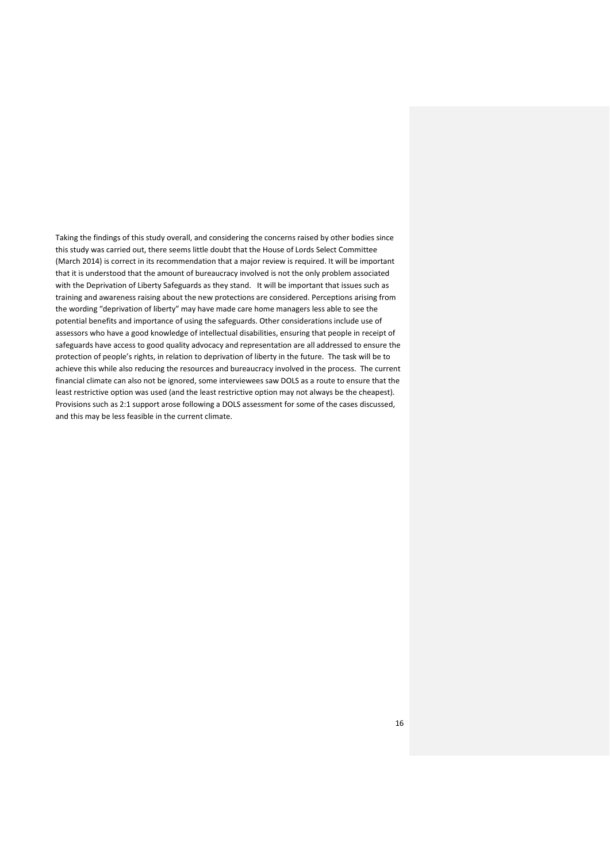Taking the findings of this study overall, and considering the concerns raised by other bodies since this study was carried out, there seems little doubt that the House of Lords Select Committee (March 2014) is correct in its recommendation that a major review is required. It will be important that it is understood that the amount of bureaucracy involved is not the only problem associated with the Deprivation of Liberty Safeguards as they stand. It will be important that issues such as training and awareness raising about the new protections are considered. Perceptions arising from the wording "deprivation of liberty" may have made care home managers less able to see the potential benefits and importance of using the safeguards. Other considerations include use of assessors who have a good knowledge of intellectual disabilities, ensuring that people in receipt of safeguards have access to good quality advocacy and representation are all addressed to ensure the protection of people's rights, in relation to deprivation of liberty in the future. The task will be to achieve this while also reducing the resources and bureaucracy involved in the process. The current financial climate can also not be ignored, some interviewees saw DOLS as a route to ensure that the least restrictive option was used (and the least restrictive option may not always be the cheapest). Provisions such as 2:1 support arose following a DOLS assessment for some of the cases discussed, and this may be less feasible in the current climate.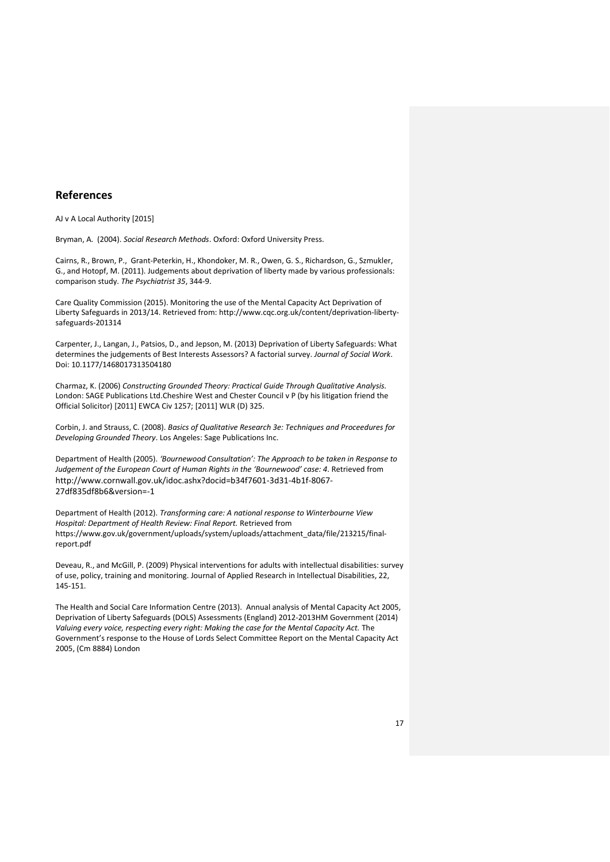#### **References**

AJ v A Local Authority [2015]

Bryman, A. (2004). *Social Research Methods*. Oxford: Oxford University Press.

Cairns, R., Brown, P., Grant-Peterkin, H., Khondoker, M. R., Owen, G. S., Richardson, G., Szmukler, G., and Hotopf, M. (2011). Judgements about deprivation of liberty made by various professionals: comparison study. *The Psychiatrist 35*, 344-9.

Care Quality Commission (2015). Monitoring the use of the Mental Capacity Act Deprivation of Liberty Safeguards in 2013/14. Retrieved from: http://www.cqc.org.uk/content/deprivation-libertysafeguards-201314

Carpenter, J., Langan, J., Patsios, D., and Jepson, M. (2013) Deprivation of Liberty Safeguards: What determines the judgements of Best Interests Assessors? A factorial survey. *Journal of Social Work*. Doi: 10.1177/1468017313504180

Charmaz, K. (2006) *Constructing Grounded Theory: Practical Guide Through Qualitative Analysis.* London: SAGE Publications Ltd.Cheshire West and Chester Council v P (by his litigation friend the Official Solicitor) [2011] EWCA Civ 1257; [2011] WLR (D) 325.

Corbin, J. and Strauss, C. (2008). *Basics of Qualitative Research 3e: Techniques and Proceedures for Developing Grounded Theory*. Los Angeles: Sage Publications Inc.

Department of Health (2005). 'Bournewood Consultation': The Approach to be taken in Response to *Judgement of the European Court of Human Rights in the 'Bournewood' case: 4. Retrieved from* http://www.cornwall.gov.uk/idoc.ashx?docid=b34f7601-3d31-4b1f-8067- 27df835df8b6&version=-1

Department of Health (2012). *Transforming care: A national response to Winterbourne View Hospital: Department of Health Review: Final Report.* Retrieved from https://www.gov.uk/government/uploads/system/uploads/attachment\_data/file/213215/finalreport.pdf

Deveau, R., and McGill, P. (2009) Physical interventions for adults with intellectual disabilities: survey of use, policy, training and monitoring. Journal of Applied Research in Intellectual Disabilities, 22, 145-151.

The Health and Social Care Information Centre (2013). Annual analysis of Mental Capacity Act 2005, Deprivation of Liberty Safeguards (DOLS) Assessments (England) 2012-2013HM Government (2014) *Valuing every voice, respecting every right: Making the case for the Mental Capacity Act.* The Government's response to the House of Lords Select Committee Report on the Mental Capacity Act 2005, (Cm 8884) London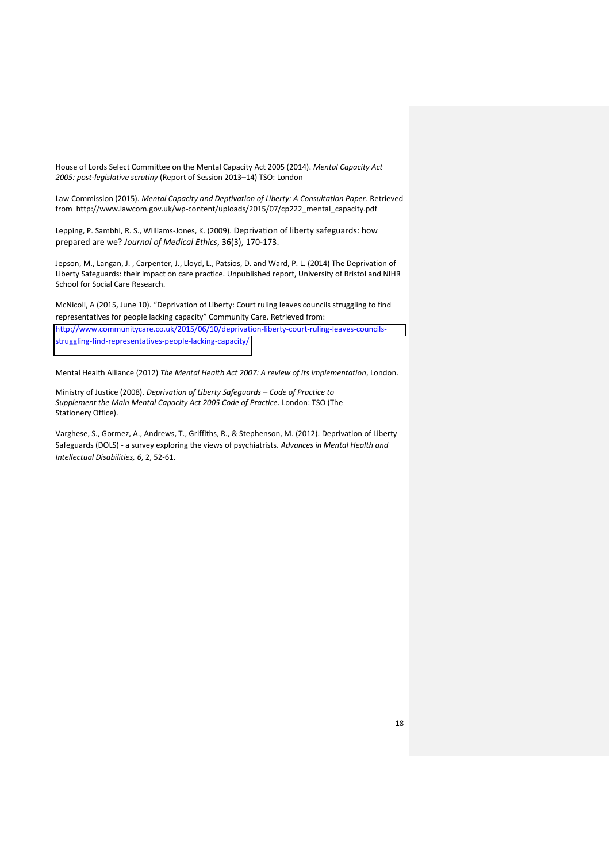House of Lords Select Committee on the Mental Capacity Act 2005 (2014). *Mental Capacity Act*  2005: post-legislative scrutiny (Report of Session 2013-14) TSO: London

Law Commission (2015). *Mental Capacity and Deptivation of Liberty: A Consultation Paper*. Retrieved from http://www.lawcom.gov.uk/wp-content/uploads/2015/07/cp222\_mental\_capacity.pdf

Lepping, P. Sambhi, R. S., Williams-Jones, K. (2009). Deprivation of liberty safeguards: how prepared are we? *Journal of Medical Ethics*, 36(3), 170-173.

Jepson, M., Langan, J. , Carpenter, J., Lloyd, L., Patsios, D. and Ward, P. L. (2014) The Deprivation of Liberty Safeguards: their impact on care practice. Unpublished report, University of Bristol and NIHR School for Social Care Research.

McNicoll, A (2015, June 10). "Deprivation of Liberty: Court ruling leaves councils struggling to find representatives for people lacking capacity" Community Care. Retrieved from: [http://www.communitycare.co.uk/2015/06/10/deprivation-liberty-court-ruling-leaves-councils](http://www.communitycare.co.uk/2015/06/10/deprivation-liberty-court-ruling-leaves-councils-struggling-find-representatives-people-lacking-capacity/)[struggling-find-representatives-people-lacking-capacity/](http://www.communitycare.co.uk/2015/06/10/deprivation-liberty-court-ruling-leaves-councils-struggling-find-representatives-people-lacking-capacity/)

Mental Health Alliance (2012) *The Mental Health Act 2007: A review of its implementation*, London.

Ministry of Justice (2008). *Deprivation of Liberty Safequards - Code of Practice to Supplement the Main Mental Capacity Act 2005 Code of Practice*. London: TSO (The Stationery Office).

Varghese, S., Gormez, A., Andrews, T., Griffiths, R., & Stephenson, M. (2012). Deprivation of Liberty Safeguards (DOLS) - a survey exploring the views of psychiatrists. *Advances in Mental Health and Intellectual Disabilities, 6*, 2, 52-61.